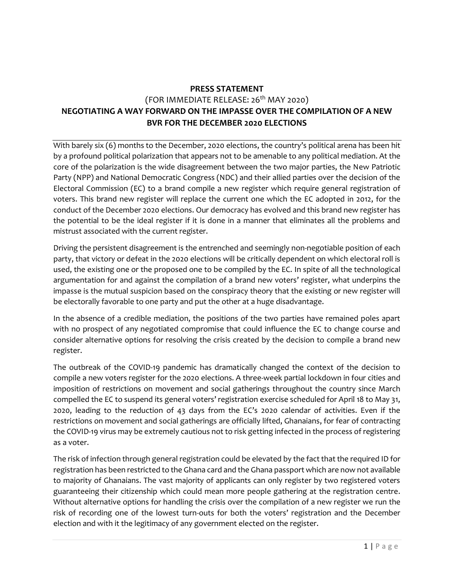## **PRESS STATEMENT** (FOR IMMEDIATE RELEASE: 26<sup>th</sup> MAY 2020) **NEGOTIATING A WAY FORWARD ON THE IMPASSE OVER THE COMPILATION OF A NEW BVR FOR THE DECEMBER 2020 ELECTIONS**

With barely six (6) months to the December, 2020 elections, the country's political arena has been hit by a profound political polarization that appears not to be amenable to any political mediation. At the core of the polarization is the wide disagreement between the two major parties, the New Patriotic Party (NPP) and National Democratic Congress (NDC) and their allied parties over the decision of the Electoral Commission (EC) to a brand compile a new register which require general registration of voters. This brand new register will replace the current one which the EC adopted in 2012, for the conduct of the December 2020 elections. Our democracy has evolved and this brand new register has the potential to be the ideal register if it is done in a manner that eliminates all the problems and mistrust associated with the current register.

Driving the persistent disagreement is the entrenched and seemingly non-negotiable position of each party, that victory or defeat in the 2020 elections will be critically dependent on which electoral roll is used, the existing one or the proposed one to be compiled by the EC. In spite of all the technological argumentation for and against the compilation of a brand new voters' register, what underpins the impasse is the mutual suspicion based on the conspiracy theory that the existing or new register will be electorally favorable to one party and put the other at a huge disadvantage.

In the absence of a credible mediation, the positions of the two parties have remained poles apart with no prospect of any negotiated compromise that could influence the EC to change course and consider alternative options for resolving the crisis created by the decision to compile a brand new register.

The outbreak of the COVID-19 pandemic has dramatically changed the context of the decision to compile a new voters register for the 2020 elections. A three-week partial lockdown in four cities and imposition of restrictions on movement and social gatherings throughout the country since March compelled the EC to suspend its general voters' registration exercise scheduled for April 18 to May 31, 2020, leading to the reduction of 43 days from the EC's 2020 calendar of activities. Even if the restrictions on movement and social gatherings are officially lifted, Ghanaians, for fear of contracting the COVID-19 virus may be extremely cautious not to risk getting infected in the process of registering as a voter.

The risk of infection through general registration could be elevated by the fact that the required ID for registration has been restricted to the Ghana card and the Ghana passport which are now not available to majority of Ghanaians. The vast majority of applicants can only register by two registered voters guaranteeing their citizenship which could mean more people gathering at the registration centre. Without alternative options for handling the crisis over the compilation of a new register we run the risk of recording one of the lowest turn-outs for both the voters' registration and the December election and with it the legitimacy of any government elected on the register.